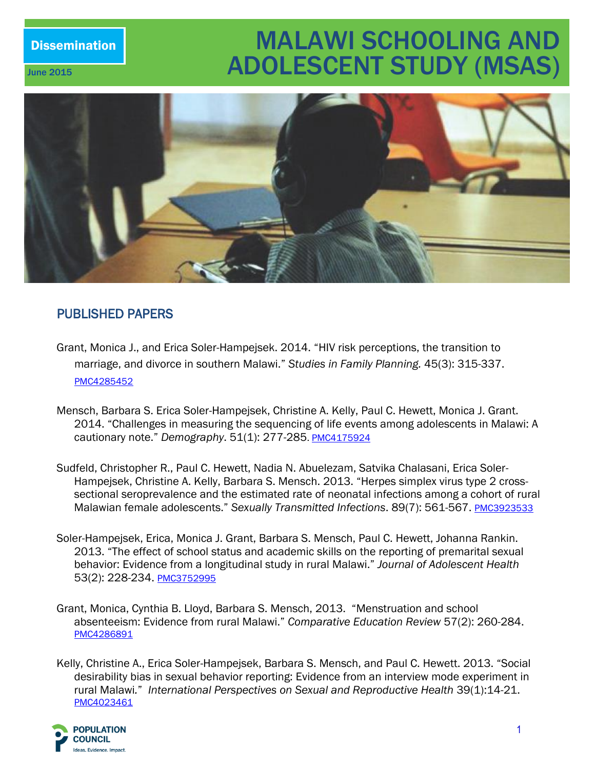# Dissemination MALAWI SCHOOLING AND **June 2015 ADOLESCENT STUDY (MSAS)**



# PUBLISHED PAPERS

- Grant, Monica J., and Erica Soler-Hampejsek. 2014. "HIV risk perceptions, the transition to marriage, and divorce in southern Malawi." *Studies in Family Planning.* 45(3): 315-337. [PMC4285452](https://www.google.com/?gws_rd=ssl%23q=PMC4285452+)
- Mensch, Barbara S. Erica Soler-Hampejsek, Christine A. Kelly, Paul C. Hewett, Monica J. Grant. 2014. "Challenges in measuring the sequencing of life events among adolescents in Malawi: A cautionary note." *Demography*. 51(1): 277-285. [PMC4175924](http://www.ncbi.nlm.nih.gov/pmc/articles/PMC4175924/)
- Sudfeld, Christopher R., Paul C. Hewett, Nadia N. Abuelezam, Satvika Chalasani, Erica Soler-Hampejsek, Christine A. Kelly, Barbara S. Mensch. 2013. "Herpes simplex virus type 2 crosssectional seroprevalence and the estimated rate of neonatal infections among a cohort of rural Malawian female adolescents." Sexually Transmitted Infections. 89(7): 561-567. [PMC3923533](http://www.ncbi.nlm.nih.gov/pmc/articles/PMC3923533/)
- Soler-Hampejsek, Erica, Monica J. Grant, Barbara S. Mensch, Paul C. Hewett, Johanna Rankin. 2013. "The effect of school status and academic skills on the reporting of premarital sexual behavior: Evidence from a longitudinal study in rural Malawi." *Journal of Adolescent Health* 53(2): 228-234. [PMC3752995](http://www.ncbi.nlm.nih.gov/pmc/articles/PMC3752995/)
- Grant, Monica, Cynthia B. Lloyd, Barbara S. Mensch, 2013. "Menstruation and school absenteeism: Evidence from rural Malawi." *Comparative Education Review* 57(2): 260-284. [PMC4286891](http://www.ncbi.nlm.nih.gov/pmc/articles/PMC4286891/)
- Kelly, Christine A., Erica Soler-Hampejsek, Barbara S. Mensch, and Paul C. Hewett. 2013. "Social desirability bias in sexual behavior reporting: Evidence from an interview mode experiment in rural Malawi*.*" *International Perspectives on Sexual and Reproductive Health* 39(1):14-21. [PMC4023461](http://www.ncbi.nlm.nih.gov/pmc/articles/PMC4023461/)

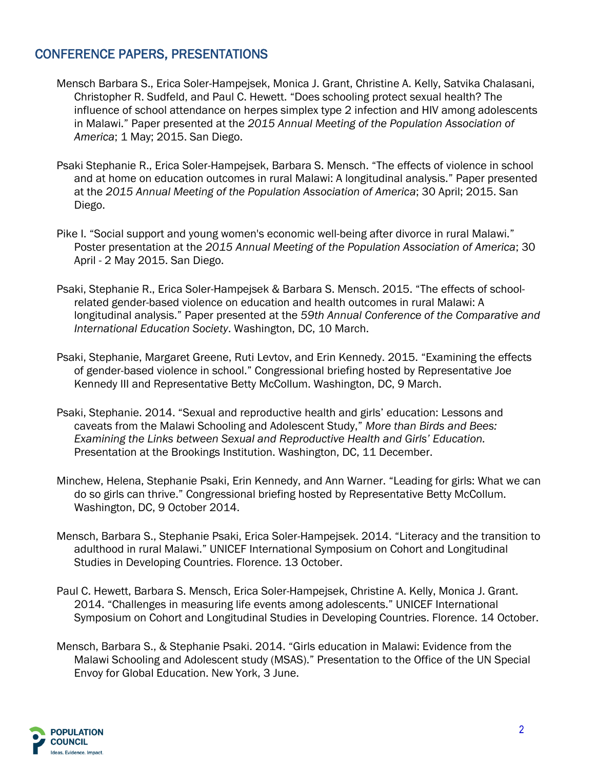## CONFERENCE PAPERS, PRESENTATIONS

- Mensch Barbara S., Erica Soler-Hampejsek, Monica J. Grant, Christine A. Kelly, Satvika Chalasani, Christopher R. Sudfeld, and Paul C. Hewett. "Does schooling protect sexual health? The influence of school attendance on herpes simplex type 2 infection and HIV among adolescents in Malawi." Paper presented at the *2015 Annual Meeting of the Population Association of America*; 1 May; 2015. San Diego.
- Psaki Stephanie R., Erica Soler-Hampejsek, Barbara S. Mensch. "The effects of violence in school and at home on education outcomes in rural Malawi: A longitudinal analysis." Paper presented at the *2015 Annual Meeting of the Population Association of America*; 30 April; 2015. San Diego.
- Pike I. "Social support and young women's economic well-being after divorce in rural Malawi." Poster presentation at the *2015 Annual Meeting of the Population Association of America*; 30 April - 2 May 2015. San Diego.
- Psaki, Stephanie R., Erica Soler-Hampejsek & Barbara S. Mensch. 2015. "The effects of schoolrelated gender-based violence on education and health outcomes in rural Malawi: A longitudinal analysis." Paper presented at the *59th Annual Conference of the Comparative and International Education Society*. Washington, DC, 10 March.
- Psaki, Stephanie, Margaret Greene, Ruti Levtov, and Erin Kennedy. 2015. "Examining the effects of gender-based violence in school." Congressional briefing hosted by Representative Joe Kennedy III and Representative Betty McCollum. Washington, DC, 9 March.
- Psaki, Stephanie. 2014. "Sexual and reproductive health and girls' education: Lessons and caveats from the Malawi Schooling and Adolescent Study," *More than Birds and Bees: Examining the Links between Sexual and Reproductive Health and Girls' Education.* Presentation at the Brookings Institution. Washington, DC, 11 December.
- Minchew, Helena, Stephanie Psaki, Erin Kennedy, and Ann Warner. "Leading for girls: What we can do so girls can thrive." Congressional briefing hosted by Representative Betty McCollum. Washington, DC, 9 October 2014.
- Mensch, Barbara S., Stephanie Psaki, Erica Soler-Hampejsek. 2014. "Literacy and the transition to adulthood in rural Malawi." UNICEF International Symposium on Cohort and Longitudinal Studies in Developing Countries. Florence. 13 October.
- Paul C. Hewett, Barbara S. Mensch, Erica Soler-Hampejsek, Christine A. Kelly, Monica J. Grant. 2014. "Challenges in measuring life events among adolescents." UNICEF International Symposium on Cohort and Longitudinal Studies in Developing Countries. Florence. 14 October.
- Mensch, Barbara S., & Stephanie Psaki. 2014. "Girls education in Malawi: Evidence from the Malawi Schooling and Adolescent study (MSAS)." Presentation to the Office of the UN Special Envoy for Global Education. New York, 3 June.

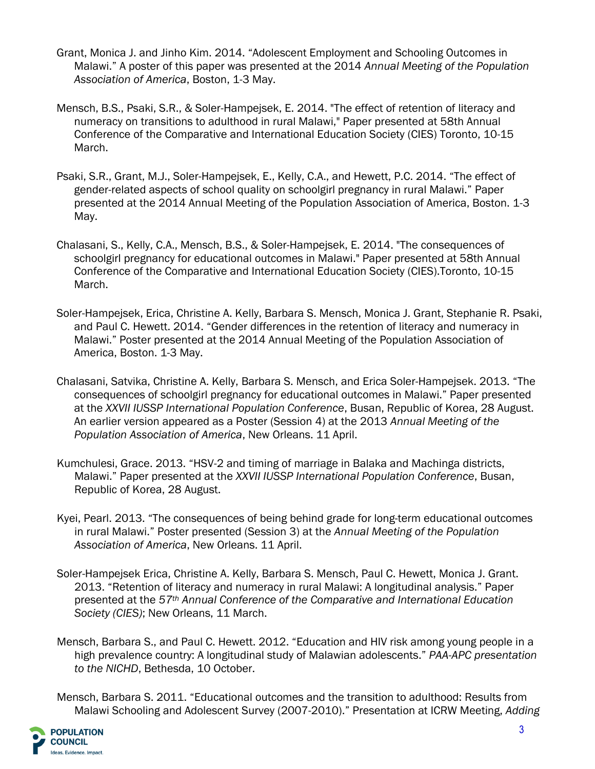- Grant, Monica J. and Jinho Kim. 2014. "Adolescent Employment and Schooling Outcomes in Malawi." A poster of this paper was presented at the 2014 *Annual Meeting of the Population Association of America*, Boston, 1-3 May.
- Mensch, B.S., Psaki, S.R., & Soler-Hampejsek, E. 2014. "The effect of retention of literacy and numeracy on transitions to adulthood in rural Malawi," Paper presented at 58th Annual Conference of the Comparative and International Education Society (CIES) Toronto, 10-15 March.
- Psaki, S.R., Grant, M.J., Soler-Hampejsek, E., Kelly, C.A., and Hewett, P.C. 2014. "The effect of gender-related aspects of school quality on schoolgirl pregnancy in rural Malawi." Paper presented at the 2014 Annual Meeting of the Population Association of America, Boston. 1-3 May.
- Chalasani, S., Kelly, C.A., Mensch, B.S., & Soler-Hampejsek, E. 2014. "The consequences of schoolgirl pregnancy for educational outcomes in Malawi." Paper presented at 58th Annual Conference of the Comparative and International Education Society (CIES).Toronto, 10-15 March.
- Soler-Hampejsek, Erica, Christine A. Kelly, Barbara S. Mensch, Monica J. Grant, Stephanie R. Psaki, and Paul C. Hewett. 2014. "Gender differences in the retention of literacy and numeracy in Malawi." Poster presented at the 2014 Annual Meeting of the Population Association of America, Boston. 1-3 May.
- Chalasani, Satvika, Christine A. Kelly, Barbara S. Mensch, and Erica Soler-Hampejsek. 2013. "The consequences of schoolgirl pregnancy for educational outcomes in Malawi." Paper presented at the *XXVII IUSSP International Population Conference*, Busan, Republic of Korea, 28 August. An earlier version appeared as a Poster (Session 4) at the 2013 *Annual Meeting of the Population Association of America*, New Orleans. 11 April.
- Kumchulesi, Grace. 2013. "HSV-2 and timing of marriage in Balaka and Machinga districts, Malawi." Paper presented at the *XXVII IUSSP International Population Conference*, Busan, Republic of Korea, 28 August.
- Kyei, Pearl. 2013. "The consequences of being behind grade for long-term educational outcomes in rural Malawi." Poster presented (Session 3) at the *Annual Meeting of the Population Association of America*, New Orleans. 11 April.
- Soler-Hampejsek Erica, Christine A. Kelly, Barbara S. Mensch, Paul C. Hewett, Monica J. Grant. 2013. "Retention of literacy and numeracy in rural Malawi: A longitudinal analysis." Paper presented at the *57th Annual Conference of the Comparative and International Education Society (CIES)*; New Orleans, 11 March.
- Mensch, Barbara S., and Paul C. Hewett. 2012. "Education and HIV risk among young people in a high prevalence country: A longitudinal study of Malawian adolescents." *PAA-APC presentation to the NICHD*, Bethesda, 10 October.

Mensch, Barbara S. 2011. "Educational outcomes and the transition to adulthood: Results from Malawi Schooling and Adolescent Survey (2007-2010)." Presentation at ICRW Meeting, *Adding* 

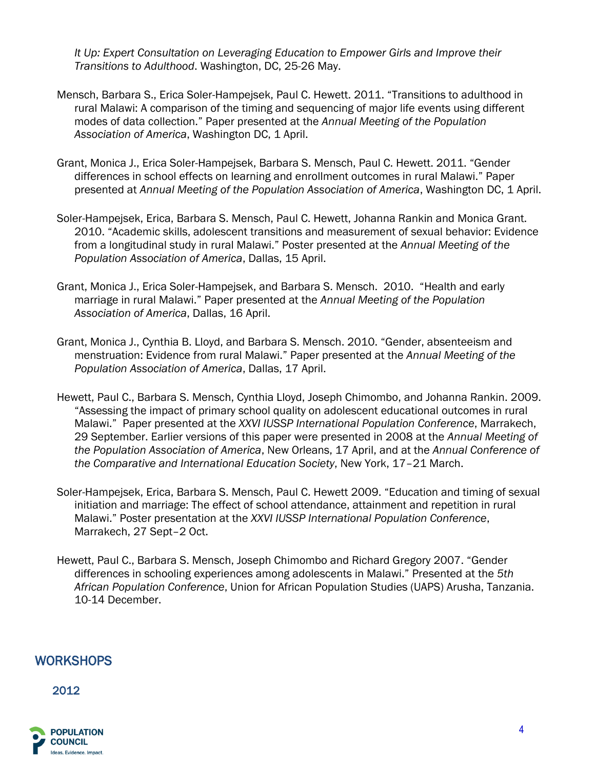*It Up: Expert Consultation on Leveraging Education to Empower Girls and Improve their Transitions to Adulthood*. Washington, DC, 25-26 May.

- Mensch, Barbara S., Erica Soler-Hampejsek, Paul C. Hewett. 2011. "Transitions to adulthood in rural Malawi: A comparison of the timing and sequencing of major life events using different modes of data collection." Paper presented at the *Annual Meeting of the Population Association of America*, Washington DC, 1 April.
- Grant, Monica J., Erica Soler-Hampejsek, Barbara S. Mensch, Paul C. Hewett. 2011. "Gender differences in school effects on learning and enrollment outcomes in rural Malawi." Paper presented at *Annual Meeting of the Population Association of America*, Washington DC, 1 April.
- Soler-Hampejsek, Erica, Barbara S. Mensch, Paul C. Hewett, Johanna Rankin and Monica Grant. 2010. "Academic skills, adolescent transitions and measurement of sexual behavior: Evidence from a longitudinal study in rural Malawi." Poster presented at the *Annual Meeting of the Population Association of America*, Dallas, 15 April.
- Grant, Monica J., Erica Soler-Hampejsek, and Barbara S. Mensch. 2010. "Health and early marriage in rural Malawi." Paper presented at the *Annual Meeting of the Population Association of America*, Dallas, 16 April.
- Grant, Monica J., Cynthia B. Lloyd, and Barbara S. Mensch. 2010. "Gender, absenteeism and menstruation: Evidence from rural Malawi." Paper presented at the *Annual Meeting of the Population Association of America*, Dallas, 17 April.
- Hewett, Paul C., Barbara S. Mensch, Cynthia Lloyd, Joseph Chimombo, and Johanna Rankin. 2009. "Assessing the impact of primary school quality on adolescent educational outcomes in rural Malawi." Paper presented at the *XXVI IUSSP International Population Conference*, Marrakech, 29 September. Earlier versions of this paper were presented in 2008 at the *Annual Meeting of the Population Association of America*, New Orleans, 17 April, and at the *Annual Conference of the Comparative and International Education Society*, New York, 17–21 March.
- Soler-Hampejsek, Erica, Barbara S. Mensch, Paul C. Hewett 2009. "Education and timing of sexual initiation and marriage: The effect of school attendance, attainment and repetition in rural Malawi." Poster presentation at the *XXVI IUSSP International Population Conference*, Marrakech, 27 Sept–2 Oct.
- Hewett, Paul C., Barbara S. Mensch, Joseph Chimombo and Richard Gregory 2007. "Gender differences in schooling experiences among adolescents in Malawi." Presented at the *5th African Population Conference*, Union for African Population Studies (UAPS) Arusha, Tanzania. 10-14 December.

## WORKSHOPS

#### 2012